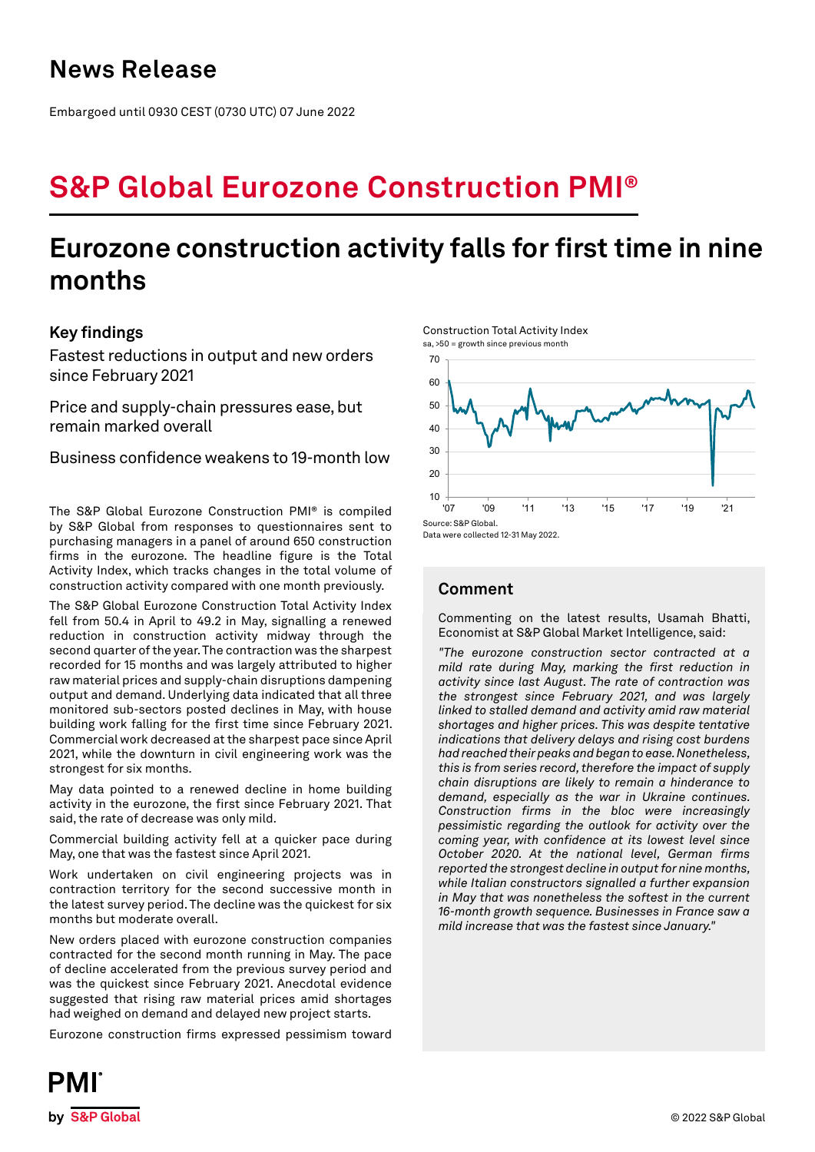## **News Release**

Embargoed until 0930 CEST (0730 UTC) 07 June 2022

# **S&P Global Eurozone Construction PMI®**

## **Eurozone construction activity falls for first time in nine months**

## **Key findings**

Fastest reductions in output and new orders since February 2021

Price and supply-chain pressures ease, but remain marked overall

Business confidence weakens to 19-month low

The S&P Global Eurozone Construction PMI® is compiled by S&P Global from responses to questionnaires sent to purchasing managers in a panel of around 650 construction firms in the eurozone. The headline figure is the Total Activity Index, which tracks changes in the total volume of construction activity compared with one month previously.

The S&P Global Eurozone Construction Total Activity Index fell from 50.4 in April to 49.2 in May, signalling a renewed reduction in construction activity midway through the second quarter of the year. The contraction was the sharpest recorded for 15 months and was largely attributed to higher raw material prices and supply-chain disruptions dampening output and demand. Underlying data indicated that all three monitored sub-sectors posted declines in May, with house building work falling for the first time since February 2021. Commercial work decreased at the sharpest pace since April 2021, while the downturn in civil engineering work was the strongest for six months.

May data pointed to a renewed decline in home building activity in the eurozone, the first since February 2021. That said, the rate of decrease was only mild.

Commercial building activity fell at a quicker pace during May, one that was the fastest since April 2021.

Work undertaken on civil engineering projects was in contraction territory for the second successive month in the latest survey period. The decline was the quickest for six months but moderate overall.

New orders placed with eurozone construction companies contracted for the second month running in May. The pace of decline accelerated from the previous survey period and was the quickest since February 2021. Anecdotal evidence suggested that rising raw material prices amid shortages had weighed on demand and delayed new project starts.

Eurozone construction firms expressed pessimism toward

Construction Total Activity Index sa, >50 = growth since previous month



## **Comment**

Commenting on the latest results, Usamah Bhatti, Economist at S&P Global Market Intelligence, said:

*"The eurozone construction sector contracted at a mild rate during May, marking the first reduction in activity since last August. The rate of contraction was the strongest since February 2021, and was largely linked to stalled demand and activity amid raw material shortages and higher prices. This was despite tentative indications that delivery delays and rising cost burdens had reached their peaks and began to ease. Nonetheless, this is from series record, therefore the impact of supply chain disruptions are likely to remain a hinderance to demand, especially as the war in Ukraine continues. Construction firms in the bloc were increasingly pessimistic regarding the outlook for activity over the coming year, with confidence at its lowest level since October 2020. At the national level, German firms reported the strongest decline in output for nine months, while Italian constructors signalled a further expansion in May that was nonetheless the softest in the current 16-month growth sequence. Businesses in France saw a mild increase that was the fastest since January."*